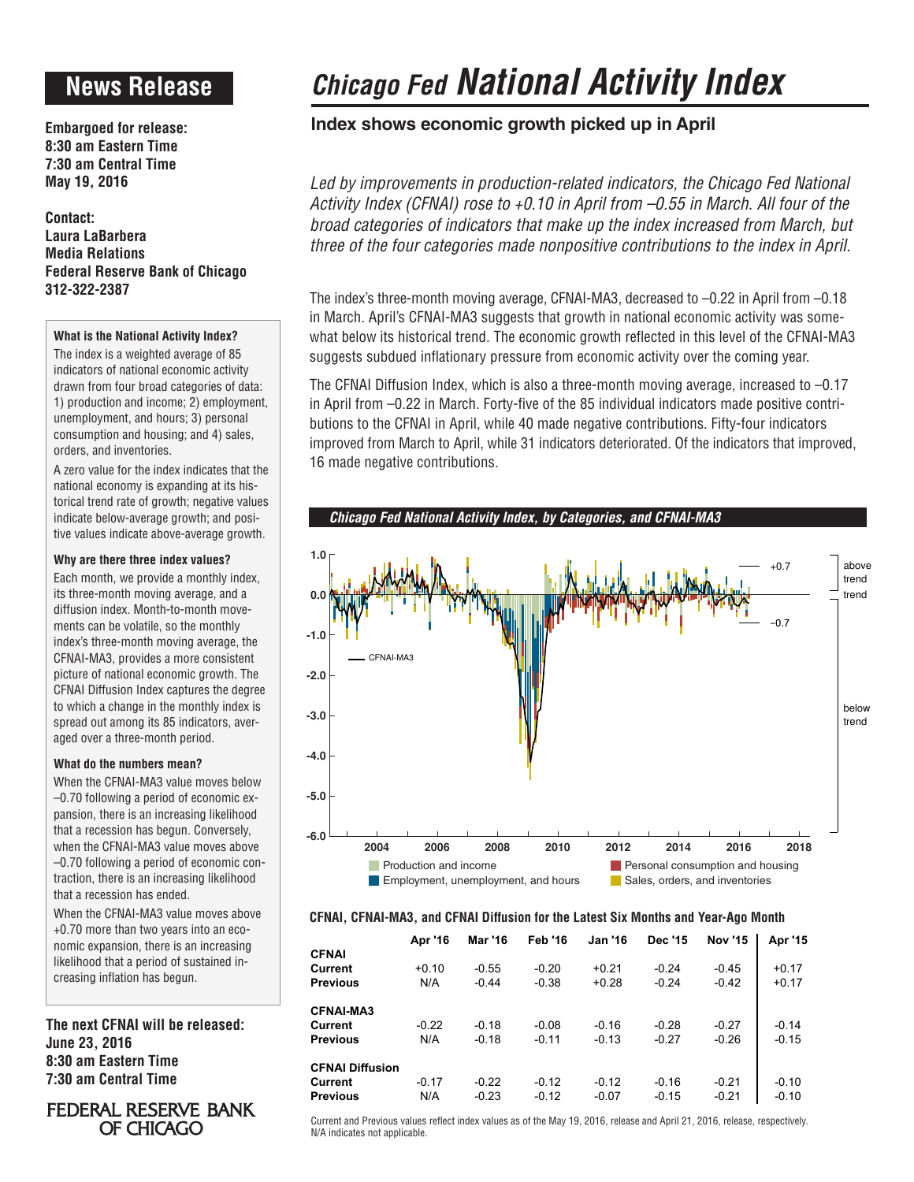# **News Release**

**Embargoed for release: 8:30 am Eastern Time 7:30 am Central Time May 19, 2016**

**Contact: Laura LaBarbera Media Relations Federal Reserve Bank of Chicago 312-322-2387**

### **What is the National Activity Index?**

The index is a weighted average of 85 indicators of national economic activity drawn from four broad categories of data: 1) production and income; 2) employment, unemployment, and hours; 3) personal consumption and housing; and 4) sales, orders, and inventories.

A zero value for the index indicates that the national economy is expanding at its historical trend rate of growth; negative values indicate below-average growth; and positive values indicate above-average growth.

#### **Why are there three index values?**

Each month, we provide a monthly index, its three-month moving average, and a diffusion index. Month-to-month movements can be volatile, so the monthly index's three-month moving average, the CFNAI-MA3, provides a more consistent picture of national economic growth. The CFNAI Diffusion Index captures the degree to which a change in the monthly index is spread out among its 85 indicators, averaged over a three-month period.

### **What do the numbers mean?**

When the CFNAI-MA3 value moves below –0.70 following a period of economic expansion, there is an increasing likelihood that a recession has begun. Conversely, when the CFNAI-MA3 value moves above –0.70 following a period of economic contraction, there is an increasing likelihood that a recession has ended.

When the CFNAI-MA3 value moves above +0.70 more than two years into an economic expansion, there is an increasing likelihood that a period of sustained increasing inflation has begun.

**The next CFNAI will be released: June 23, 2016 8:30 am Eastern Time 7:30 am Central Time**

# **FEDERAL RESERVE BANK** OF CHICAGO

# *Chicago Fed National Activity Index*

# **Index shows economic growth picked up in April**

Led by improvements in production-related indicators, the Chicago Fed National *Activity Index (CFNAI) rose to +0.10 in April from –0.55 in March. All four of the broad categories of indicators that make up the index increased from March, but three of the four categories made nonpositive contributions to the index in April.*

The index's three-month moving average, CFNAI-MA3, decreased to –0.22 in April from –0.18 in March. April's CFNAI-MA3 suggests that growth in national economic activity was somewhat below its historical trend. The economic growth reflected in this level of the CFNAI-MA3 suggests subdued inflationary pressure from economic activity over the coming year.

The CFNAI Diffusion Index, which is also a three-month moving average, increased to –0.17 in April from –0.22 in March. Forty-five of the 85 individual indicators made positive contributions to the CFNAI in April, while 40 made negative contributions. Fifty-four indicators improved from March to April, while 31 indicators deteriorated. Of the indicators that improved, 16 made negative contributions.

*Chicago Fed National Activity Index, by Categories, and CFNAI-MA3*



#### **CFNAI, CFNAI-MA3, and CFNAI Diffusion for the Latest Six Months and Year-Ago Month**

|                        | Apr '16 | Mar '16 | <b>Feb '16</b> | <b>Jan '16</b> | <b>Dec '15</b> | <b>Nov '15</b> | Apr '15 |
|------------------------|---------|---------|----------------|----------------|----------------|----------------|---------|
| <b>CFNAI</b>           |         |         |                |                |                |                |         |
| Current                | $+0.10$ | $-0.55$ | $-0.20$        | $+0.21$        | $-0.24$        | $-0.45$        | $+0.17$ |
| <b>Previous</b>        | N/A     | $-0.44$ | $-0.38$        | $+0.28$        | $-0.24$        | $-0.42$        | $+0.17$ |
| <b>CFNAI-MA3</b>       |         |         |                |                |                |                |         |
| Current                | $-0.22$ | $-0.18$ | $-0.08$        | $-0.16$        | $-0.28$        | $-0.27$        | $-0.14$ |
| <b>Previous</b>        | N/A     | $-0.18$ | $-0.11$        | $-0.13$        | $-0.27$        | $-0.26$        | $-0.15$ |
| <b>CFNAI Diffusion</b> |         |         |                |                |                |                |         |
| Current                | $-0.17$ | $-0.22$ | $-0.12$        | $-0.12$        | $-0.16$        | $-0.21$        | $-0.10$ |
| <b>Previous</b>        | N/A     | $-0.23$ | $-0.12$        | $-0.07$        | $-0.15$        | $-0.21$        | $-0.10$ |

Current and Previous values reflect index values as of the May 19, 2016, release and April 21, 2016, release, respectively. N/A indicates not applicable.